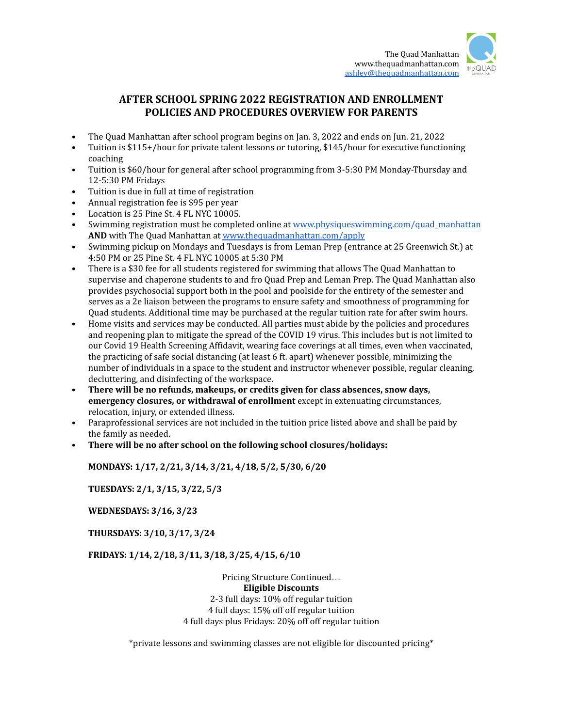

## **AFTER SCHOOL SPRING 2022 REGISTRATION AND ENROLLMENT POLICIES AND PROCEDURES OVERVIEW FOR PARENTS**

- The Quad Manhattan after school program begins on Jan. 3, 2022 and ends on Jun. 21, 2022
- Tuition is \$115+/hour for private talent lessons or tutoring, \$145/hour for executive functioning coaching
- Tuition is \$60/hour for general after school programming from 3-5:30 PM Monday-Thursday and 12-5:30 PM Fridays
- Tuition is due in full at time of registration
- Annual registration fee is \$95 per year
- Location is 25 Pine St. 4 FL NYC 10005.
- Swimming registration must be completed online at [www.physiqueswimming.com/quad\\_manhattan](http://www.physiqueswimming.com/quad_manhattan) **AND** with The Quad Manhattan at [www.thequadmanhattan.com/apply](http://www.thequadmanhattan.com/apply)
- Swimming pickup on Mondays and Tuesdays is from Leman Prep (entrance at 25 Greenwich St.) at 4:50 PM or 25 Pine St. 4 FL NYC 10005 at 5:30 PM
- There is a \$30 fee for all students registered for swimming that allows The Quad Manhattan to supervise and chaperone students to and fro Quad Prep and Leman Prep. The Quad Manhattan also provides psychosocial support both in the pool and poolside for the entirety of the semester and serves as a 2e liaison between the programs to ensure safety and smoothness of programming for Quad students. Additional time may be purchased at the regular tuition rate for after swim hours.
- Home visits and services may be conducted. All parties must abide by the policies and procedures and reopening plan to mitigate the spread of the COVID 19 virus. This includes but is not limited to our Covid 19 Health Screening Affidavit, wearing face coverings at all times, even when vaccinated, the practicing of safe social distancing (at least 6 ft. apart) whenever possible, minimizing the number of individuals in a space to the student and instructor whenever possible, regular cleaning, decluttering, and disinfecting of the workspace.
- **There will be no refunds, makeups, or credits given for class absences, snow days, emergency closures, or withdrawal of enrollment** except in extenuating circumstances, relocation, injury, or extended illness.
- Paraprofessional services are not included in the tuition price listed above and shall be paid by the family as needed.
- **• There will be no after school on the following school closures/holidays:**

**MONDAYS: 1/17, 2/21, 3/14, 3/21, 4/18, 5/2, 5/30, 6/20**

**TUESDAYS: 2/1, 3/15, 3/22, 5/3**

**WEDNESDAYS: 3/16, 3/23**

**THURSDAYS: 3/10, 3/17, 3/24**

**FRIDAYS: 1/14, 2/18, 3/11, 3/18, 3/25, 4/15, 6/10**

Pricing Structure Continued… **Eligible Discounts** 2-3 full days: 10% off regular tuition 4 full days: 15% off off regular tuition 4 full days plus Fridays: 20% off off regular tuition

\*private lessons and swimming classes are not eligible for discounted pricing\*